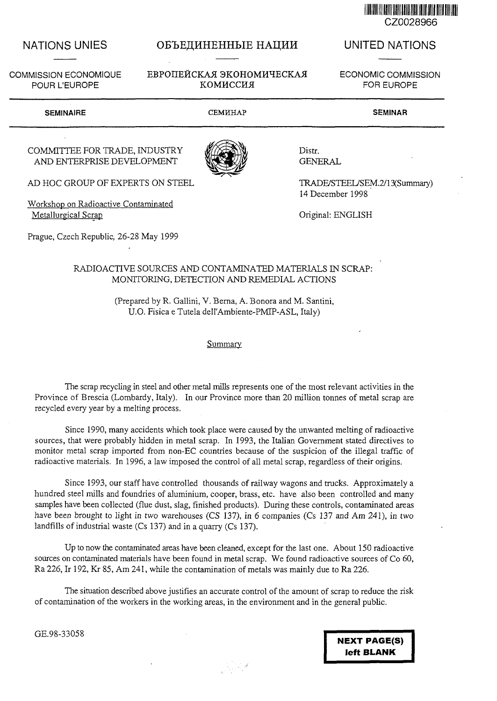

# NATIONS UNIES OF DE OF LEBHHEHH HALLERH

COMMISSION ECONOMIQUE EBPOIIEЙCKAJ ЭКОНОМИЧЕСКАЈ POUR L'EUROPE KOMHCCHA

# UNITED NATIONS

ECONOMIC COMMISSION FOR EUROPE

### SEMINAIRE CEMHHAP SEMINAR

### COMMITTEE FOR TRADE, INDUSTRY AND ENTERPRISE DEVELOPMENT

AD HOC GROUP OF EXPERTS ON STEEL

Workshop on Radioactive Contaminated Metallurgical Scrap

Prague, Czech Republic, 26-28 May 1999



Distr. GENERAL

TRADE/STEEL/SEM.2/13(Summary) 14 December 1998

Original: ENGLISH

## RADIOACTIVE SOURCES AND CONTAMINATED MATERIALS IN SCRAP: MONITORING, DETECTION AND REMEDIAL ACTIONS

(Prepared by R. Gallini, V. Berna, A. Bonora and M. Santini, U.O. Fisica e Tutela dell'Ambiente-PMIP-ASL, Italy)

**Summary** 

The scrap recycling in steel and other metal mills represents one of the most relevant activities in the Province of Brescia (Lombardy, Italy). In our Province more than 20 million tonnes of metal scrap are recycled every year by a melting process.

Since 1990, many accidents which took place were caused by the unwanted melting of radioactive sources, that were probably hidden in metal scrap. In 1993, the Italian Government stated directives to monitor metal scrap imported from non-EC countries because of the suspicion of the illegal traffic of radioactive materials. In 1996, a law imposed the control of all metal scrap, regardless of their origins.

Since 1993, our staff have controlled thousands of railway wagons and trucks. Approximately a hundred steel mills and foundries of aluminium, cooper, brass, etc. have also been controlled and many samples have been collected (flue dust, slag, finished products). During these controls, contaminated areas have been brought to light in two warehouses (CS 137), in 6 companies (Cs 137 and Am 241), in two landfills of industrial waste (Cs 137) and in a quarry (Cs 137).

Up to now the contaminated areas have been cleaned, except for the last one. About 150 radioactive sources on contaminated materials have been found in metal scrap. We found radioactive sources of Co 60, Ra 226, Ir 192, Kr 85, Am 241, while the contamination of metals was mainly due to Ra 226.

The situation described above justifies an accurate control of the amount of scrap to reduce the risk of contamination of the workers in the working areas, in the environment and in the general public.

 $\mathcal{A} \in \mathbb{R}^{N}$ 

GE.98-33058

NEXT PAGE(S) left BLANK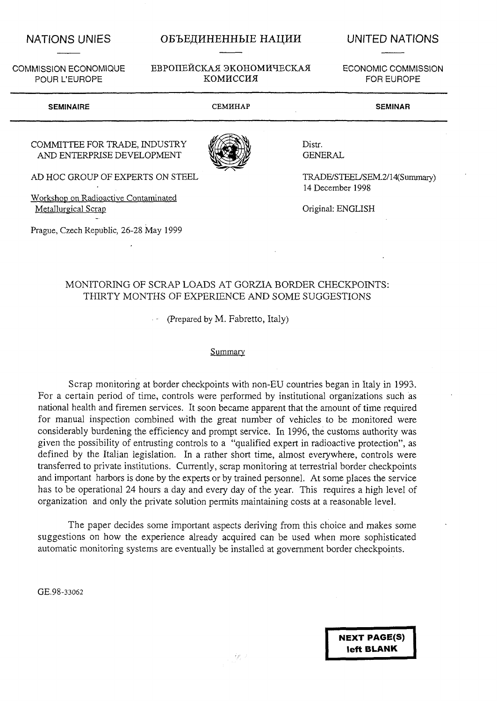POUR L'EUROPE

# NATIONS UNIES OBTHE OBTHE HALLE HALL THE UNITED NATIONS

COMMISSION ECONOM1QUE EBP0HEHCKA5I 3K0H0MHHECKAJI

ECONOMIC COMMISSION FOR EUROPE

### SEMINAIRE CEMHHAP SEMINAR

# COMMITTEE FOR TRADE, INDUSTRY AND ENTERPRISE DEVELOPMENT

AD HOC GROUP OF EXPERTS ON STEEL

Workshop on Radioactive Contaminated Metallurgical Scrap

Prague, Czech Republic, 26-28 May 1999

Distr. **GENERAL** 

TRADE/STEEL/SEM.2/14(Summary) 14 December 1998

Original: ENGLISH

# MONITORING OF SCRAP LOADS AT GORZIA BORDER CHECKPOINTS: THIRTY MONTHS OF EXPERIENCE AND SOME SUGGESTIONS

(Prepared by M. Fabretto, Italy)

### **Summary**

Scrap monitoring at border checkpoints with non-EU countries began in Italy in 1993. For a certain period of time, controls were performed by institutional organizations such as national health and firemen services. It soon became apparent that the amount of time required for manual inspection combined with the great number of vehicles to be monitored were considerably burdening the efficiency and prompt service. In 1996, the customs authority was given the possibility of entrusting controls to a "qualified expert in radioactive protection", as defined by the Italian legislation. In a rather short time, almost everywhere, controls were transferred to private institutions. Currently, scrap monitoring at terrestrial border checkpoints and important harbors is done by the experts or by trained personnel. At some places the service has to be operational 24 hours a day and every day of the year. This requires a high level of organization and only the private solution permits maintaining costs at a reasonable level.

The paper decides some important aspects deriving from this choice and makes some suggestions on how the experience already acquired can be used when more sophisticated automatic monitoring systems are eventually be installed at government border checkpoints.

GE.98-33062

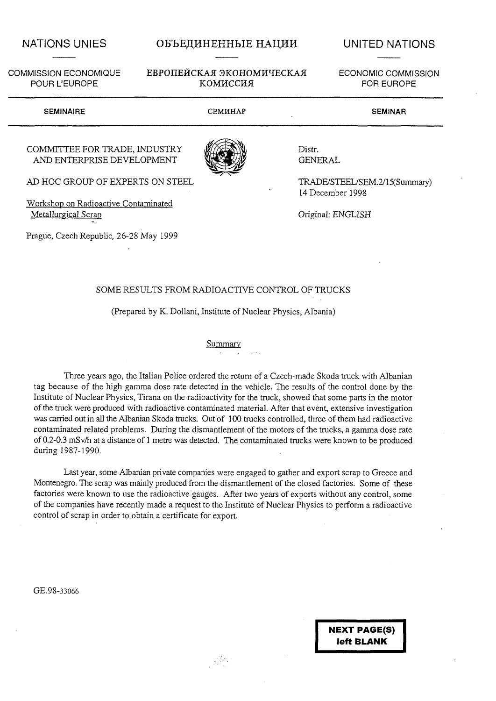# NATIONS UNIES OB'LE UNITED NATIONS

# COMMISSION ECONOMIQUE EBPOILE ÄCKAJI GKOHOMITECKAJI POUR L'EUROPE KOMMCCHA

ECONOMIC COMMISSION FOR EUROPE

| <b>SEMINAIRE</b>                                            | <b>CEMHHAP</b> | <b>SEMINAR</b>                                    |
|-------------------------------------------------------------|----------------|---------------------------------------------------|
| COMMITTEE FOR TRADE, INDUSTRY<br>AND ENTERPRISE DEVELOPMENT |                | Distr.<br><b>GENERAL</b>                          |
| AD HOC GROUP OF EXPERTS ON STEEL                            |                | TRADE/STEEL/SEM.2/15(Summary)<br>14 December 1998 |

Workshop on Radioactive Contaminated Metallurgical Scrap

Prague, Czech Republic, 26-28 May 1999

Original: ENGLISH

# SOME RESULTS FROM RADIOACTIVE CONTROL OF TRUCKS

(Prepared by K. Dollani, Institute of Nuclear Physics, Albania)

### **Summary**

Three years ago, the Italian Police ordered the return of a Czech-made Skoda truck with Albanian tag because of the high gamma dose rate detected in the vehicle. The results of the control done by the Institute of Nuclear Physics, Tirana on the radioactivity for the truck, showed that some parts in the motor of the truck were produced with radioactive contaminated material. After that event, extensive investigation was carried out in all the Albanian Skoda trucks. Out of 100 trucks controlled, three of them had radioactive contaminated related problems. During the dismantlement of the motors of the trucks, a gamma dose rate of 0.2-0.3 mS v/h at a distance of 1 metre was detected. The contaminated trucks were known to be produced during 1987-1990.

Last year, some Albanian private companies were engaged to gather and export scrap to Greece and Montenegro. The scrap was mainly produced from the dismantlement of the closed factories. Some of these factories were known to use the radioactive gauges. After two years of exports without any control, some of the companies have recently made a request to the Institute of Nuclear Physics to perform a radioactive control of scrap in order to obtain a certificate for export.

 $\mathcal{L}^{(2)}$ 

GE.98-33066

**NEXT PAGE(S) left BLANK**